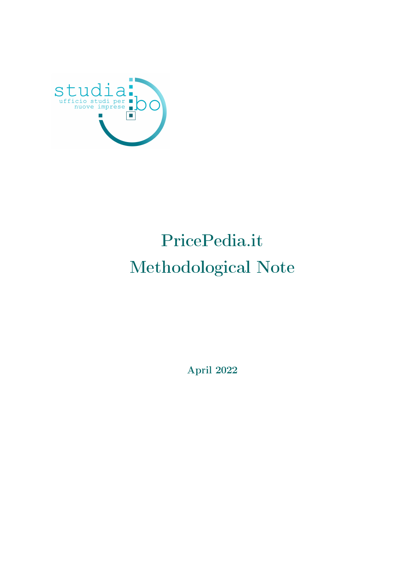

# PricePedia.it Methodological Note

April 2022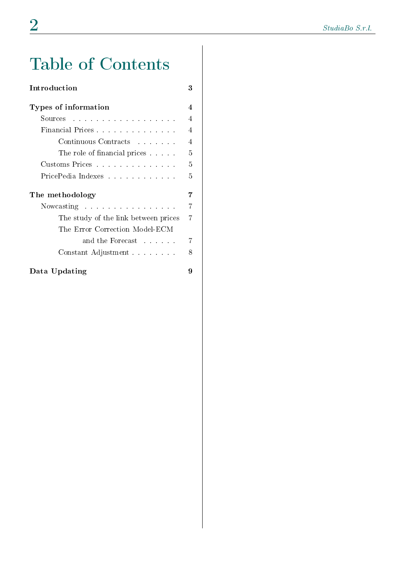# Table of Contents

| Introduction                         | 3              |
|--------------------------------------|----------------|
| Types of information                 | 4              |
| Sources                              | $\overline{4}$ |
| Financial Prices                     | 4              |
| Continuous Contracts                 | $\overline{4}$ |
| The role of financial prices         | 5              |
| Customs Prices                       | 5              |
| PricePedia Indexes                   | 5              |
| The methodology                      | 7              |
| Nowcasting                           | 7              |
| The study of the link between prices | 7              |
| The Error Correction Model-ECM       |                |
| and the Forecast residence           | 7              |
| Constant Adjustment                  | 8              |
| Data Updating                        | 9              |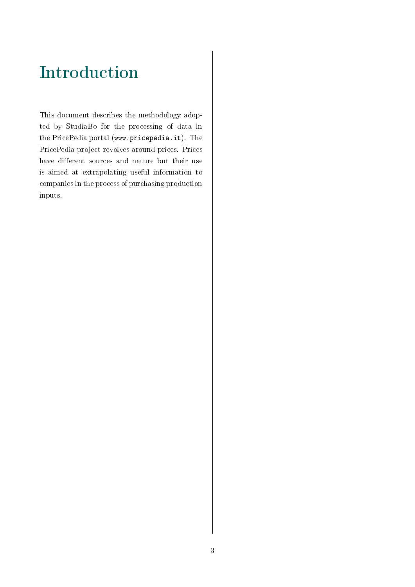# Introduction

This document describes the methodology adopted by StudiaBo for the processing of data in the PricePedia portal (www.pricepedia.it). The PricePedia project revolves around prices. Prices have different sources and nature but their use is aimed at extrapolating useful information to companies in the process of purchasing production inputs.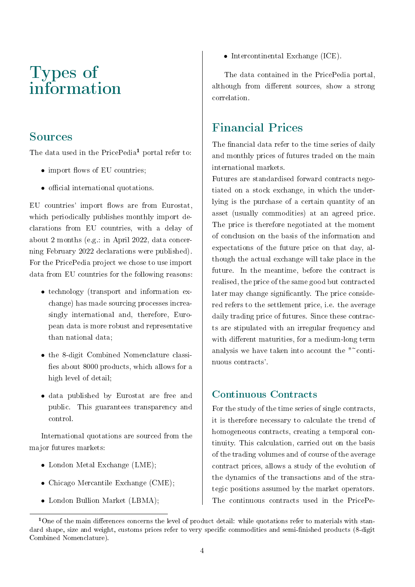### Types of information

#### Sources

The data used in the PricePedia<sup>1</sup> portal refer to:

- $\bullet$  import flows of EU countries;
- $\bullet$  official international quotations.

EU countries' import flows are from Eurostat, which periodically publishes monthly import declarations from EU countries, with a delay of about 2 months (e.g.: in April 2022, data concerning February 2022 declarations were published). For the PricePedia project we chose to use import data from EU countries for the following reasons:

- technology (transport and information exchange) has made sourcing processes increasingly international and, therefore, European data is more robust and representative than national data;
- the 8-digit Combined Nomenclature classi fies about 8000 products, which allows for a high level of detail;
- data published by Eurostat are free and public. This guarantees transparency and control.

International quotations are sourced from the major futures markets:

- London Metal Exchange (LME);
- Chicago Mercantile Exchange (CME);
- London Bullion Market (LBMA);

• Intercontinental Exchange (ICE).

The data contained in the PricePedia portal, although from different sources, show a strong correlation.

### Financial Prices

The financial data refer to the time series of daily and monthly prices of futures traded on the main international markets.

Futures are standardised forward contracts negotiated on a stock exchange, in which the underlying is the purchase of a certain quantity of an asset (usually commodities) at an agreed price. The price is therefore negotiated at the moment of conclusion on the basis of the information and expectations of the future price on that day, although the actual exchange will take place in the future. In the meantime, before the contract is realised, the price of the same good but contracted later may change significantly. The price considered refers to the settlement price, i.e. the average daily trading price of futures. Since these contracts are stipulated with an irregular frequency and with different maturities, for a medium-long term analysis we have taken into account the "~continuous contracts'.

#### Continuous Contracts

For the study of the time series of single contracts, it is therefore necessary to calculate the trend of homogeneous contracts, creating a temporal continuity. This calculation, carried out on the basis of the trading volumes and of course of the average contract prices, allows a study of the evolution of the dynamics of the transactions and of the strategic positions assumed by the market operators. The continuous contracts used in the PricePe-

<sup>&</sup>lt;sup>1</sup>One of the main differences concerns the level of product detail: while quotations refer to materials with standard shape, size and weight, customs prices refer to very specific commodities and semi-finished products (8-digit Combined Nomenclature).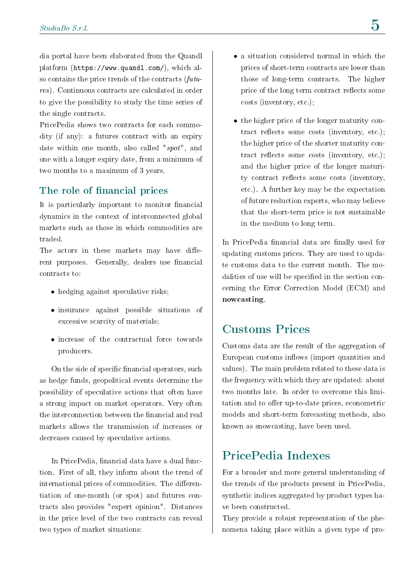dia portal have been elaborated from the Quandl platform (https://www.quandl.com/), which also contains the price trends of the contracts  $(\text{f}utu - \text{f}utu - \text{f}utu - \text{f}utu - \text{f}utu - \text{f}utu - \text{f}utu - \text{f}utu - \text{f}utu - \text{f}utu - \text{f}utu - \text{f}utu - \text{f}utu - \text{f}utu - \text{f}utu - \text{f}utu - \text{f}utu - \text{f}utu - \text{f}utu - \text{f}utu - \text{f}utu - \text{f}ut$ res). Continuous contracts are calculated in order to give the possibility to study the time series of the single contracts.

PricePedia shows two contracts for each commodity (if any): a futures contract with an expiry date within one month, also called "spot", and one with a longer expiry date, from a minimum of two months to a maximum of 3 years.

#### The role of financial prices

It is particularly important to monitor financial dynamics in the context of interconnected global markets such as those in which commodities are traded.

The actors in these markets may have different purposes. Generally, dealers use financial contracts to:

- hedging against speculative risks;
- insurance against possible situations of excessive scarcity of materials;
- increase of the contractual force towards producers.

On the side of specific financial operators, such as hedge funds, geopolitical events determine the possibility of speculative actions that often have a strong impact on market operators. Very often the interconnection between the financial and real markets allows the transmission of increases or decreases caused by speculative actions.

In PricePedia, financial data have a dual function. First of all, they inform about the trend of international prices of commodities. The differentiation of one-month (or spot) and futures contracts also provides "expert opinion". Distances in the price level of the two contracts can reveal two types of market situations:

- a situation considered normal in which the prices of short-term contracts are lower than those of long-term contracts. The higher price of the long term contract reflects some costs (inventory, etc.);
- the higher price of the longer maturity contract reflects some costs (inventory, etc.); the higher price of the shorter maturity contract reflects some costs (inventory, etc.); and the higher price of the longer maturity contract reflects some costs (inventory, etc.). A further key may be the expectation of future reduction experts, who may believe that the short-term price is not sustainable in the medium to long term.

In PricePedia financial data are finally used for updating customs prices. They are used to update customs data to the current month. The modalities of use will be specified in the section concerning the Error Correction Model (ECM) and nowcasting.

### Customs Prices

Customs data are the result of the aggregation of European customs inflows (import quantities and values). The main problem related to these data is the frequency with which they are updated: about two months late. In order to overcome this limitation and to offer up-to-date prices, econometric models and short-term forecasting methods, also known as snowcasting, have been used.

#### PricePedia Indexes

For a broader and more general understanding of the trends of the products present in PricePedia, synthetic indices aggregated by product types have been constructed.

They provide a robust representation of the phenomena taking place within a given type of pro-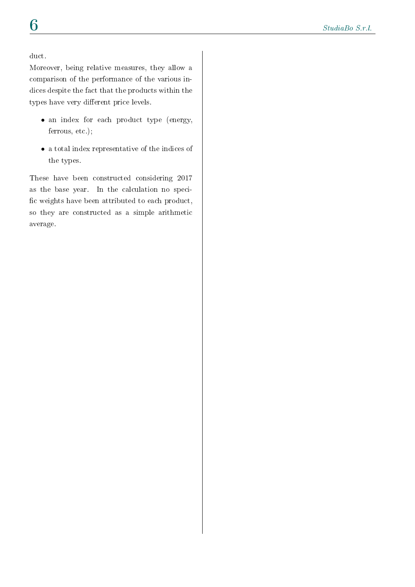#### duct.

Moreover, being relative measures, they allow a comparison of the performance of the various indices despite the fact that the products within the types have very different price levels.

- an index for each product type (energy, ferrous, etc.);
- a total index representative of the indices of the types.

These have been constructed considering 2017 as the base year. In the calculation no speci fic weights have been attributed to each product, so they are constructed as a simple arithmetic average.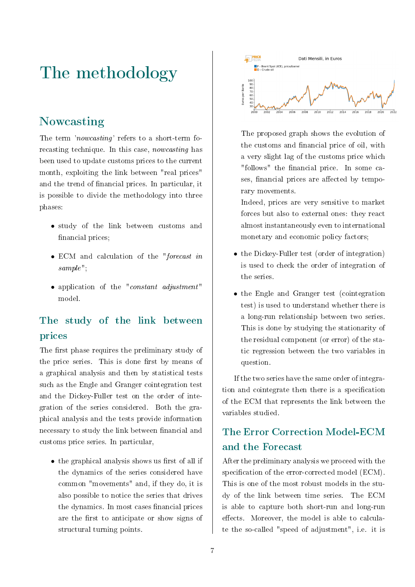# The methodology

### Nowcasting

The term 'nowcasting' refers to a short-term forecasting technique. In this case, nowcasting has been used to update customs prices to the current month, exploiting the link between "real prices" and the trend of financial prices. In particular, it is possible to divide the methodology into three phases:

- study of the link between customs and financial prices;
- ECM and calculation of the "forecast in sample";
- application of the "constant adjustment" model.

#### The study of the link between prices

The first phase requires the preliminary study of the price series. This is done first by means of a graphical analysis and then by statistical tests such as the Engle and Granger cointegration test and the Dickey-Fuller test on the order of integration of the series considered. Both the graphical analysis and the tests provide information necessary to study the link between financial and customs price series. In particular,

 $\bullet$  the graphical analysis shows us first of all if the dynamics of the series considered have common "movements" and, if they do, it is also possible to notice the series that drives the dynamics. In most cases financial prices are the first to anticipate or show signs of structural turning points.



The proposed graph shows the evolution of the customs and financial price of oil, with a very slight lag of the customs price which "follows" the financial price. In some cases, financial prices are affected by temporary movements.

Indeed, prices are very sensitive to market forces but also to external ones: they react almost instantaneously even to international monetary and economic policy factors;

- the Dickey-Fuller test (order of integration) is used to check the order of integration of the series.
- the Engle and Granger test (cointegration test) is used to understand whether there is a long-run relationship between two series. This is done by studying the stationarity of the residual component (or error) of the static regression between the two variables in question.

If the two series have the same order of integration and cointegrate then there is a specification of the ECM that represents the link between the variables studied.

### The Error Correction Model-ECM and the Forecast

After the preliminary analysis we proceed with the specification of the error-corrected model (ECM). This is one of the most robust models in the study of the link between time series. The ECM is able to capture both short-run and long-run effects. Moreover, the model is able to calculate the so-called "speed of adjustment", i.e. it is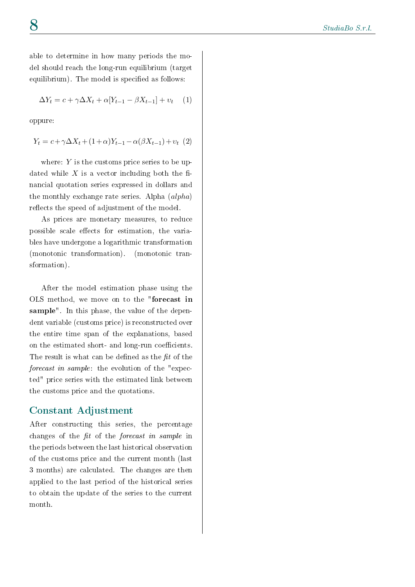able to determine in how many periods the model should reach the long-run equilibrium (target equilibrium). The model is specified as follows:

$$
\Delta Y_t = c + \gamma \Delta X_t + \alpha [Y_{t-1} - \beta X_{t-1}] + v_t \quad (1)
$$

oppure:

 $Y_t = c + \gamma \Delta X_t + (1 + \alpha) Y_{t-1} - \alpha(\beta X_{t-1}) + v_t (2)$ 

where:  $Y$  is the customs price series to be updated while  $X$  is a vector including both the financial quotation series expressed in dollars and the monthly exchange rate series. Alpha (alpha) reflects the speed of adjustment of the model.

As prices are monetary measures, to reduce possible scale effects for estimation, the variables have undergone a logarithmic transformation (monotonic transformation). (monotonic transformation).

After the model estimation phase using the OLS method, we move on to the "forecast in sample". In this phase, the value of the dependent variable (customs price) is reconstructed over the entire time span of the explanations, based on the estimated short- and long-run coefficients. The result is what can be defined as the  $fit$  of the forecast in sample: the evolution of the "expected" price series with the estimated link between the customs price and the quotations.

#### Constant Adjustment

After constructing this series, the percentage changes of the  $fit$  of the *forecast in sample* in the periods between the last historical observation of the customs price and the current month (last 3 months) are calculated. The changes are then applied to the last period of the historical series to obtain the update of the series to the current month.